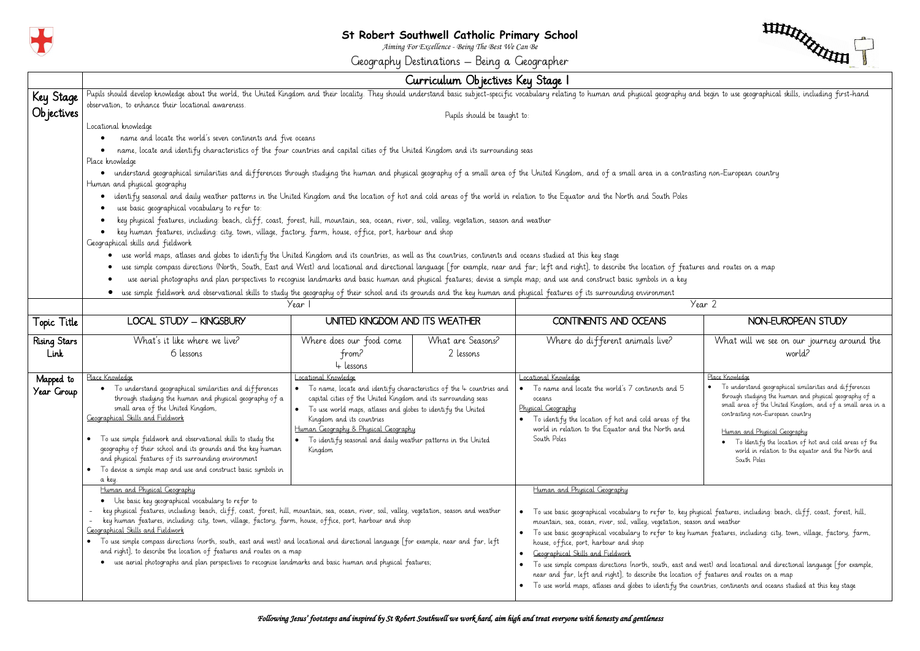

## **St Robert Southwell Catholic Primary School**

*Aiming For Excellence - Being The Best We Can Be*

|                     | Curriculum Objectives Key Stage                                                                                                                                                                                                                                                                                                                                                          |                                                                                                                                                                                                                                                                                |                   |                                                                                                                                                                                                             |                                                                                                                                                                                                                              |                                                                                                                 |                                                                                         |  |  |  |  |
|---------------------|------------------------------------------------------------------------------------------------------------------------------------------------------------------------------------------------------------------------------------------------------------------------------------------------------------------------------------------------------------------------------------------|--------------------------------------------------------------------------------------------------------------------------------------------------------------------------------------------------------------------------------------------------------------------------------|-------------------|-------------------------------------------------------------------------------------------------------------------------------------------------------------------------------------------------------------|------------------------------------------------------------------------------------------------------------------------------------------------------------------------------------------------------------------------------|-----------------------------------------------------------------------------------------------------------------|-----------------------------------------------------------------------------------------|--|--|--|--|
| Key Stage           | Pupils should develop knowledge about the world, the United Kingdom and their locality. They should understand basic subject-specific vocabulary relating to human and physical geography and begin to use geographical skills                                                                                                                                                           |                                                                                                                                                                                                                                                                                |                   |                                                                                                                                                                                                             |                                                                                                                                                                                                                              |                                                                                                                 |                                                                                         |  |  |  |  |
| Ob jectives         | observation, to enhance their locational awareness.                                                                                                                                                                                                                                                                                                                                      |                                                                                                                                                                                                                                                                                |                   |                                                                                                                                                                                                             |                                                                                                                                                                                                                              |                                                                                                                 |                                                                                         |  |  |  |  |
|                     | Pupils should be taught to:<br>Locational knowledge                                                                                                                                                                                                                                                                                                                                      |                                                                                                                                                                                                                                                                                |                   |                                                                                                                                                                                                             |                                                                                                                                                                                                                              |                                                                                                                 |                                                                                         |  |  |  |  |
|                     | name and locate the world's seven continents and five oceans                                                                                                                                                                                                                                                                                                                             |                                                                                                                                                                                                                                                                                |                   |                                                                                                                                                                                                             |                                                                                                                                                                                                                              |                                                                                                                 |                                                                                         |  |  |  |  |
|                     | name, locate and identify characteristics of the four countries and capital cities of the United Kingdom and its surrounding seas<br>Place knowledge                                                                                                                                                                                                                                     |                                                                                                                                                                                                                                                                                |                   |                                                                                                                                                                                                             |                                                                                                                                                                                                                              |                                                                                                                 |                                                                                         |  |  |  |  |
|                     |                                                                                                                                                                                                                                                                                                                                                                                          |                                                                                                                                                                                                                                                                                |                   |                                                                                                                                                                                                             |                                                                                                                                                                                                                              |                                                                                                                 |                                                                                         |  |  |  |  |
|                     | • understand geographical similarities and differences through studying the human and physical geography of a small area of the United Kingdom, and of a small area in a contrasting non-European country                                                                                                                                                                                |                                                                                                                                                                                                                                                                                |                   |                                                                                                                                                                                                             |                                                                                                                                                                                                                              |                                                                                                                 |                                                                                         |  |  |  |  |
|                     | Human and physical geography<br>identify seasonal and daily weather patterns in the United Kingdom and the location of hot and cold areas of the world in relation to the Equator and the North and South Poles<br>use basic qeoqraphical vocabulary to refer to:                                                                                                                        |                                                                                                                                                                                                                                                                                |                   |                                                                                                                                                                                                             |                                                                                                                                                                                                                              |                                                                                                                 |                                                                                         |  |  |  |  |
|                     |                                                                                                                                                                                                                                                                                                                                                                                          |                                                                                                                                                                                                                                                                                |                   |                                                                                                                                                                                                             |                                                                                                                                                                                                                              |                                                                                                                 |                                                                                         |  |  |  |  |
|                     |                                                                                                                                                                                                                                                                                                                                                                                          |                                                                                                                                                                                                                                                                                |                   |                                                                                                                                                                                                             |                                                                                                                                                                                                                              |                                                                                                                 |                                                                                         |  |  |  |  |
|                     | key physical features, including: beach, cliff, coast, forest, hill, mountain, sea, ocean, river, soil, valley, vegetation, season and weather<br>key human features, including: city, town, village, factory, farm, house, office, port, harbour and shop<br>Geographical skills and fieldwork                                                                                          |                                                                                                                                                                                                                                                                                |                   |                                                                                                                                                                                                             |                                                                                                                                                                                                                              |                                                                                                                 |                                                                                         |  |  |  |  |
|                     |                                                                                                                                                                                                                                                                                                                                                                                          |                                                                                                                                                                                                                                                                                |                   |                                                                                                                                                                                                             |                                                                                                                                                                                                                              |                                                                                                                 |                                                                                         |  |  |  |  |
|                     | $\bullet$                                                                                                                                                                                                                                                                                                                                                                                |                                                                                                                                                                                                                                                                                |                   |                                                                                                                                                                                                             |                                                                                                                                                                                                                              |                                                                                                                 |                                                                                         |  |  |  |  |
|                     | use world maps, atlases and globes to identify the United Kingdom and its countries, as well as the countries, continents and oceans studied at this key staqe<br>use simple compass directions (North, South, East and West) and locational and directional language [for example, near and far; left and right], to describe the location of features and routes on a map<br>$\bullet$ |                                                                                                                                                                                                                                                                                |                   |                                                                                                                                                                                                             |                                                                                                                                                                                                                              |                                                                                                                 |                                                                                         |  |  |  |  |
|                     |                                                                                                                                                                                                                                                                                                                                                                                          |                                                                                                                                                                                                                                                                                |                   | use aerial photographs and plan perspectives to recognise landmarks and basic human and physical features; devise a simple map; and use and construct basic symbols in a key                                |                                                                                                                                                                                                                              |                                                                                                                 |                                                                                         |  |  |  |  |
|                     | use simple fieldwork and observational skills to study the geography of their school and its grounds and the key human and physical features of its surrounding environment<br>$\bullet$                                                                                                                                                                                                 |                                                                                                                                                                                                                                                                                |                   |                                                                                                                                                                                                             |                                                                                                                                                                                                                              |                                                                                                                 |                                                                                         |  |  |  |  |
|                     |                                                                                                                                                                                                                                                                                                                                                                                          | Year 1                                                                                                                                                                                                                                                                         |                   | Year 2                                                                                                                                                                                                      |                                                                                                                                                                                                                              |                                                                                                                 |                                                                                         |  |  |  |  |
| Topic Title         | <b>LOCAL STUDY - KINGSBURY</b>                                                                                                                                                                                                                                                                                                                                                           | UNITED KINGDOM AND ITS WEATHER                                                                                                                                                                                                                                                 |                   | CONTINENTS AND OCEANS                                                                                                                                                                                       | NON-EUROPEAN STUDY                                                                                                                                                                                                           |                                                                                                                 |                                                                                         |  |  |  |  |
| <b>Rising Stars</b> | What's it like where we live?                                                                                                                                                                                                                                                                                                                                                            | Where does our food come                                                                                                                                                                                                                                                       | What are Seasons? | Where do different animals live?                                                                                                                                                                            | What will we see on our journey ard                                                                                                                                                                                          |                                                                                                                 |                                                                                         |  |  |  |  |
| Link                | 6 lessons                                                                                                                                                                                                                                                                                                                                                                                | from?                                                                                                                                                                                                                                                                          | 2 lessons         |                                                                                                                                                                                                             | world?                                                                                                                                                                                                                       |                                                                                                                 |                                                                                         |  |  |  |  |
|                     |                                                                                                                                                                                                                                                                                                                                                                                          | 4 lessons                                                                                                                                                                                                                                                                      |                   |                                                                                                                                                                                                             |                                                                                                                                                                                                                              |                                                                                                                 |                                                                                         |  |  |  |  |
| Mapped to           | Place Knowledge                                                                                                                                                                                                                                                                                                                                                                          | Locational Knowledge                                                                                                                                                                                                                                                           |                   | Locational Knowledge                                                                                                                                                                                        | Place Knowledge                                                                                                                                                                                                              |                                                                                                                 |                                                                                         |  |  |  |  |
| Year Group          | • To understand geographical similarities and differences                                                                                                                                                                                                                                                                                                                                | To name, locate and identify characteristics of the $\mathfrak t$ countries and<br>$\bullet$                                                                                                                                                                                   |                   | • To name and locate the world's 7 continents and 5                                                                                                                                                         | To understand geographical similarities and dif<br>through studying the human and physical geogro                                                                                                                            |                                                                                                                 |                                                                                         |  |  |  |  |
|                     | through studying the human and physical geography of a<br>small area of the United Kingdom,                                                                                                                                                                                                                                                                                              | capital cities of the United Kingdom and its surrounding seas<br>To use world maps, atlases and globes to identify the United<br>Kingdom and its countries<br>Human Geography & Physical Geography<br>To identify seasonal and daily weather patterns in the United<br>Kingdom |                   | oceans<br>Physical Geography                                                                                                                                                                                | small area of the United Kingdom, and of a sm                                                                                                                                                                                |                                                                                                                 |                                                                                         |  |  |  |  |
|                     | Geographical Skills and Fieldwork                                                                                                                                                                                                                                                                                                                                                        |                                                                                                                                                                                                                                                                                |                   | To identify the location of hot and cold areas of the<br>world in relation to the Equator and the North and<br>South Poles                                                                                  | contrasting non-European country                                                                                                                                                                                             |                                                                                                                 |                                                                                         |  |  |  |  |
|                     |                                                                                                                                                                                                                                                                                                                                                                                          |                                                                                                                                                                                                                                                                                |                   |                                                                                                                                                                                                             | Human and Physical Geography                                                                                                                                                                                                 |                                                                                                                 |                                                                                         |  |  |  |  |
|                     | To use simple fieldwork and observational skills to study the<br>$\bullet$                                                                                                                                                                                                                                                                                                               |                                                                                                                                                                                                                                                                                |                   |                                                                                                                                                                                                             | To Identify the location of hot and cold ar                                                                                                                                                                                  |                                                                                                                 |                                                                                         |  |  |  |  |
|                     | geography of their school and its grounds and the key human<br>and physical features of its surrounding environment                                                                                                                                                                                                                                                                      |                                                                                                                                                                                                                                                                                |                   |                                                                                                                                                                                                             | world in relation to the equator and the No<br>South Poles                                                                                                                                                                   |                                                                                                                 |                                                                                         |  |  |  |  |
|                     | To devise a simple map and use and construct basic symbols in                                                                                                                                                                                                                                                                                                                            |                                                                                                                                                                                                                                                                                |                   |                                                                                                                                                                                                             |                                                                                                                                                                                                                              |                                                                                                                 |                                                                                         |  |  |  |  |
|                     | a key                                                                                                                                                                                                                                                                                                                                                                                    |                                                                                                                                                                                                                                                                                |                   |                                                                                                                                                                                                             |                                                                                                                                                                                                                              |                                                                                                                 |                                                                                         |  |  |  |  |
|                     | Human and Physical Geography                                                                                                                                                                                                                                                                                                                                                             |                                                                                                                                                                                                                                                                                |                   | Human and Physical Geography                                                                                                                                                                                |                                                                                                                                                                                                                              |                                                                                                                 |                                                                                         |  |  |  |  |
|                     | • Use basic key geographical vocabulary to refer to<br>key physical features, including: beach, cliff, coast, forest, hill, mountain, sea, ocean, river, soil, valley, vegetation, season and weather<br>key human features, including: city, town, village, factory, farm, house, office, port, harbour and shop<br>Geographical Skills and Fieldwork                                   |                                                                                                                                                                                                                                                                                |                   | • To use basic geographical vocabulary to refer to, key physical features, including: beach, cliff, coast, forest<br>mountain, sea, ocean, river, soil, valley, vegetation, season and weather              |                                                                                                                                                                                                                              |                                                                                                                 |                                                                                         |  |  |  |  |
|                     |                                                                                                                                                                                                                                                                                                                                                                                          |                                                                                                                                                                                                                                                                                |                   |                                                                                                                                                                                                             |                                                                                                                                                                                                                              | • To use basic geographical vocabulary to refer to key human features, including: city, town, village, factory, |                                                                                         |  |  |  |  |
|                     |                                                                                                                                                                                                                                                                                                                                                                                          |                                                                                                                                                                                                                                                                                |                   |                                                                                                                                                                                                             | To use simple compass directions (north, south, east and west) and locational and directional language [for example, near and far, left<br>$\bullet$<br>and right], to describe the location of features and routes on a map |                                                                                                                 | house, office, port, harbour and shop<br>Geographical Skills and Fieldwork<br>$\bullet$ |  |  |  |  |
|                     | • use aerial photographs and plan perspectives to recognise landmarks and basic human and physical features;                                                                                                                                                                                                                                                                             |                                                                                                                                                                                                                                                                                |                   | To use simple compass directions (north, south, east and west) and locational and directional language [for                                                                                                 |                                                                                                                                                                                                                              |                                                                                                                 |                                                                                         |  |  |  |  |
|                     |                                                                                                                                                                                                                                                                                                                                                                                          |                                                                                                                                                                                                                                                                                |                   | near and far, left and right], to describe the location of features and routes on a map<br>• To use world maps, atlases and globes to identify the countries, continents and oceans studied at this key sta |                                                                                                                                                                                                                              |                                                                                                                 |                                                                                         |  |  |  |  |
|                     |                                                                                                                                                                                                                                                                                                                                                                                          |                                                                                                                                                                                                                                                                                |                   |                                                                                                                                                                                                             |                                                                                                                                                                                                                              |                                                                                                                 |                                                                                         |  |  |  |  |
|                     |                                                                                                                                                                                                                                                                                                                                                                                          |                                                                                                                                                                                                                                                                                |                   |                                                                                                                                                                                                             |                                                                                                                                                                                                                              |                                                                                                                 |                                                                                         |  |  |  |  |



nd begin to use geographical skills, including first-hand

Geography Destinations – Being a Geographer

What will we see on our journey around the world? Place Knowledge To understand geographical similarities and differences through studying the human and physical geography of a small area of the United Kingdom, and of a small area in a contrasting non-European country Human and Physical Geography To Identify the location of hot and cold areas of the world in relation to the equator and the North and South Poles

rysical features, including: beach, cliff, coast, forest, hill, son and weather iman features, including: city, town, village, factory, farm, d west) and locational and directional lanquaqe [for example, of features and routes on a map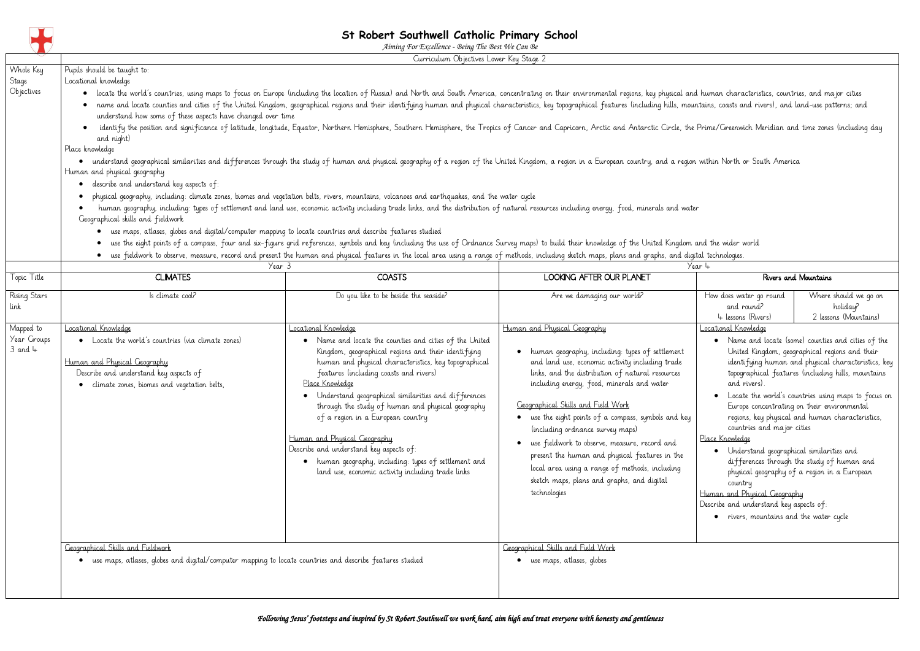

*Aiming For Excellence - Being The Best We Can Be*

Curriculum Objectives Lower Key Stage 2

| Whole Key            | Pupils should be taught to:                                                                                                                                                                                                                                                                                                                                                                                                                                                                                                     |                                                                                                                                                                                                          |                                                                                              |                                                                                                       |                                                     |  |  |  |  |
|----------------------|---------------------------------------------------------------------------------------------------------------------------------------------------------------------------------------------------------------------------------------------------------------------------------------------------------------------------------------------------------------------------------------------------------------------------------------------------------------------------------------------------------------------------------|----------------------------------------------------------------------------------------------------------------------------------------------------------------------------------------------------------|----------------------------------------------------------------------------------------------|-------------------------------------------------------------------------------------------------------|-----------------------------------------------------|--|--|--|--|
| Stage                | Locational knowledge                                                                                                                                                                                                                                                                                                                                                                                                                                                                                                            |                                                                                                                                                                                                          |                                                                                              |                                                                                                       |                                                     |  |  |  |  |
| Objectives           | • locate the world's countries, using maps to focus on Europe (including the location of Russia) and North and South America, concentrating on their environmental regions, key physical and human characteristics, countries,<br>• name and locate counties and cities of the United Kingdom, geographical regions and their identifying human and physical characteristics, key topographical features (including hills, mountains, coasts and rivers), and la<br>understand how some of these aspects have changed over time |                                                                                                                                                                                                          |                                                                                              |                                                                                                       |                                                     |  |  |  |  |
|                      | identify the position and significance of latitude, longitude, Equator, Northern Hemisphere, Southern Hemisphere, the Tropics of Cancer and Capricorn, Arctic and Antarctic Circle, the Prime/Greenwich Meridian and time zone<br>$\bullet$<br>and night)                                                                                                                                                                                                                                                                       |                                                                                                                                                                                                          |                                                                                              |                                                                                                       |                                                     |  |  |  |  |
|                      | Place knowledge                                                                                                                                                                                                                                                                                                                                                                                                                                                                                                                 |                                                                                                                                                                                                          |                                                                                              |                                                                                                       |                                                     |  |  |  |  |
|                      | understand geographical similarities and differences through the study of human and physical geography of a region of the United Kingdom, a region in a European country, and a region within North or South America<br>$\bullet$<br>Human and physical geography                                                                                                                                                                                                                                                               |                                                                                                                                                                                                          |                                                                                              |                                                                                                       |                                                     |  |  |  |  |
|                      | describe and understand key aspects of:<br>$\bullet$                                                                                                                                                                                                                                                                                                                                                                                                                                                                            |                                                                                                                                                                                                          |                                                                                              |                                                                                                       |                                                     |  |  |  |  |
|                      | physical geography, including: climate zones, biomes and vegetation belts, rivers, mountains, volcanoes and earthquakes, and the water cycle                                                                                                                                                                                                                                                                                                                                                                                    |                                                                                                                                                                                                          |                                                                                              |                                                                                                       |                                                     |  |  |  |  |
|                      | human geography, including: types of settlement and land use, economic activity including trade links, and the distribution of natural resources including energy, food, minerals and water<br>Geographical skills and fieldwork                                                                                                                                                                                                                                                                                                |                                                                                                                                                                                                          |                                                                                              |                                                                                                       |                                                     |  |  |  |  |
|                      |                                                                                                                                                                                                                                                                                                                                                                                                                                                                                                                                 | • use maps, atlases, globes and digital/computer mapping to locate countries and describe features studied                                                                                               |                                                                                              |                                                                                                       |                                                     |  |  |  |  |
|                      |                                                                                                                                                                                                                                                                                                                                                                                                                                                                                                                                 | • use the eight points of a compass, four and six-figure grid references, symbols and key (including the use of Ordnance Survey maps) to build their knowledge of the United Kingdom and the wider world |                                                                                              |                                                                                                       |                                                     |  |  |  |  |
|                      |                                                                                                                                                                                                                                                                                                                                                                                                                                                                                                                                 | • use fieldwork to observe, measure, record and present the human and physical features in the local area using a range of methods, including sketch maps, plans and graphs, and digital technologies.   |                                                                                              |                                                                                                       |                                                     |  |  |  |  |
|                      |                                                                                                                                                                                                                                                                                                                                                                                                                                                                                                                                 | Year 3                                                                                                                                                                                                   |                                                                                              | Year 4                                                                                                |                                                     |  |  |  |  |
| Topic Title          | <b>CLIMATES</b>                                                                                                                                                                                                                                                                                                                                                                                                                                                                                                                 | <b>COASTS</b>                                                                                                                                                                                            | <b>LOOKING AFTER OUR PLANET</b>                                                              |                                                                                                       | Rivers and Mountains                                |  |  |  |  |
| Rising Stars<br>link | ls climate cool?                                                                                                                                                                                                                                                                                                                                                                                                                                                                                                                | Do you like to be beside the seaside?                                                                                                                                                                    | Are we damaging our world?                                                                   | How does water go round<br>and round?                                                                 | Where should we go on<br>holiday?                   |  |  |  |  |
|                      |                                                                                                                                                                                                                                                                                                                                                                                                                                                                                                                                 |                                                                                                                                                                                                          |                                                                                              | 4 Lessons (Rivers)                                                                                    | 2 lessons (Mountains)                               |  |  |  |  |
| Mapped to            | Locational Knowledge                                                                                                                                                                                                                                                                                                                                                                                                                                                                                                            | Locational Knowledge                                                                                                                                                                                     | Human and Physical Geography                                                                 | Locational Knowledge                                                                                  |                                                     |  |  |  |  |
| Year Groups          | Locate the world's countries (via climate zones)                                                                                                                                                                                                                                                                                                                                                                                                                                                                                | • Name and locate the counties and cities of the United                                                                                                                                                  |                                                                                              | • Name and locate (some) counties and cities of the<br>United Kingdom, geographical regions and their |                                                     |  |  |  |  |
| $3$ and $4$          |                                                                                                                                                                                                                                                                                                                                                                                                                                                                                                                                 | Kingdom, geographical regions and their identifying                                                                                                                                                      | • human geography, including: types of settlement                                            |                                                                                                       |                                                     |  |  |  |  |
|                      | Human and Physical Geography                                                                                                                                                                                                                                                                                                                                                                                                                                                                                                    | human and physical characteristics, key topographical                                                                                                                                                    | and land use, economic activity including trade                                              |                                                                                                       | identifying human and physical characteristics, key |  |  |  |  |
|                      | Describe and understand key aspects of                                                                                                                                                                                                                                                                                                                                                                                                                                                                                          | features (including coasts and rivers)                                                                                                                                                                   | links, and the distribution of natural resources                                             |                                                                                                       | topographical features (including hills, mountains  |  |  |  |  |
|                      | climate zones, biomes and vegetation belts,<br>$\bullet$                                                                                                                                                                                                                                                                                                                                                                                                                                                                        | Place Knowledge                                                                                                                                                                                          | including energy, food, minerals and water                                                   | and rivers).                                                                                          |                                                     |  |  |  |  |
|                      |                                                                                                                                                                                                                                                                                                                                                                                                                                                                                                                                 | • Understand geographical similarities and differences                                                                                                                                                   |                                                                                              |                                                                                                       | Locate the world's countries using maps to focus on |  |  |  |  |
|                      |                                                                                                                                                                                                                                                                                                                                                                                                                                                                                                                                 | through the study of human and physical geography                                                                                                                                                        | Geographical Skills and Field Work                                                           |                                                                                                       | Europe concentrating on their environmental         |  |  |  |  |
|                      |                                                                                                                                                                                                                                                                                                                                                                                                                                                                                                                                 | of a region in a European country                                                                                                                                                                        | • use the eight points of a compass, symbols and key<br>(including ordnance survey maps)     | regions, key physical and human characteristics,<br>countries and ma jor cities                       |                                                     |  |  |  |  |
|                      |                                                                                                                                                                                                                                                                                                                                                                                                                                                                                                                                 | Human and Physical Geography                                                                                                                                                                             | use fieldwork to observe, measure, record and                                                | Place Knowledge                                                                                       |                                                     |  |  |  |  |
|                      |                                                                                                                                                                                                                                                                                                                                                                                                                                                                                                                                 | Describe and understand key aspects of:                                                                                                                                                                  | present the human and physical features in the                                               | • Understand geographical similarities and                                                            |                                                     |  |  |  |  |
|                      |                                                                                                                                                                                                                                                                                                                                                                                                                                                                                                                                 | • human geography, including: types of settlement and                                                                                                                                                    |                                                                                              |                                                                                                       | differences through the study of human and          |  |  |  |  |
|                      |                                                                                                                                                                                                                                                                                                                                                                                                                                                                                                                                 | land use, economic activity including trade links                                                                                                                                                        | local area using a range of methods, including<br>sketch maps, plans and graphs, and digital |                                                                                                       | physical geography of a region in a European        |  |  |  |  |
|                      |                                                                                                                                                                                                                                                                                                                                                                                                                                                                                                                                 |                                                                                                                                                                                                          |                                                                                              | country                                                                                               |                                                     |  |  |  |  |
|                      |                                                                                                                                                                                                                                                                                                                                                                                                                                                                                                                                 |                                                                                                                                                                                                          | technologies                                                                                 | Human and Physical Geography                                                                          |                                                     |  |  |  |  |
|                      |                                                                                                                                                                                                                                                                                                                                                                                                                                                                                                                                 |                                                                                                                                                                                                          |                                                                                              | Describe and understand key aspects of:                                                               |                                                     |  |  |  |  |
|                      |                                                                                                                                                                                                                                                                                                                                                                                                                                                                                                                                 |                                                                                                                                                                                                          |                                                                                              | • rivers, mountains and the water cycle                                                               |                                                     |  |  |  |  |
|                      | Geographical Skills and Fieldwork<br>Geographical Skills and Field Work                                                                                                                                                                                                                                                                                                                                                                                                                                                         |                                                                                                                                                                                                          |                                                                                              |                                                                                                       |                                                     |  |  |  |  |
|                      | use maps, atlases, globes and digital/computer mapping to locate countries and describe features studied<br>• use maps, atlases, globes<br>$\bullet$                                                                                                                                                                                                                                                                                                                                                                            |                                                                                                                                                                                                          |                                                                                              |                                                                                                       |                                                     |  |  |  |  |
|                      |                                                                                                                                                                                                                                                                                                                                                                                                                                                                                                                                 |                                                                                                                                                                                                          |                                                                                              |                                                                                                       |                                                     |  |  |  |  |
|                      |                                                                                                                                                                                                                                                                                                                                                                                                                                                                                                                                 |                                                                                                                                                                                                          |                                                                                              |                                                                                                       |                                                     |  |  |  |  |